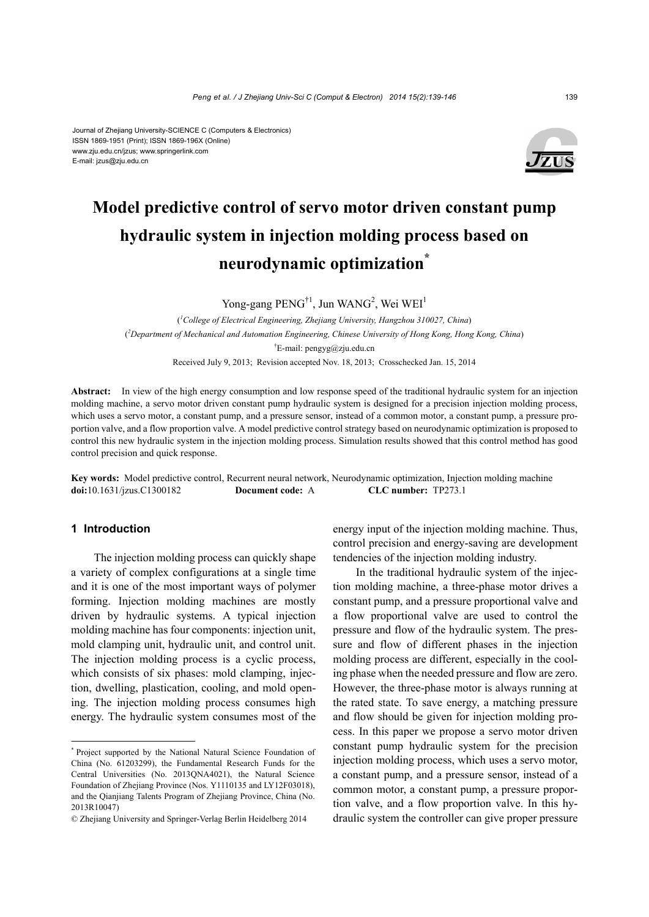#### Journal of Zhejiang University-SCIENCE C (Computers & Electronics) ISSN 1869-1951 (Print); ISSN 1869-196X (Online) www.zju.edu.cn/jzus; www.springerlink.com E-mail: jzus@zju.edu.cn



# **Model predictive control of servo motor driven constant pump hydraulic system in injection molding process based on neurodynamic optimization\***

Yong-gang  $\text{PENG}^{\dagger 1}$ , Jun WAN $G^2$ , Wei WEI<sup>1</sup>

( *1 College of Electrical Engineering, Zhejiang University, Hangzhou 310027, China*) ( *2 Department of Mechanical and Automation Engineering, Chinese University of Hong Kong, Hong Kong, China*) † E-mail: pengyg@zju.edu.cn

Received July 9, 2013; Revision accepted Nov. 18, 2013; Crosschecked Jan. 15, 2014

**Abstract:** In view of the high energy consumption and low response speed of the traditional hydraulic system for an injection molding machine, a servo motor driven constant pump hydraulic system is designed for a precision injection molding process, which uses a servo motor, a constant pump, and a pressure sensor, instead of a common motor, a constant pump, a pressure proportion valve, and a flow proportion valve. A model predictive control strategy based on neurodynamic optimization is proposed to control this new hydraulic system in the injection molding process. Simulation results showed that this control method has good control precision and quick response.

**Key words:** Model predictive control, Recurrent neural network, Neurodynamic optimization, Injection molding machine **doi:**10.1631/jzus.C1300182 **Document code:** A **CLC number:** TP273.1

### **1 Introduction**

The injection molding process can quickly shape a variety of complex configurations at a single time and it is one of the most important ways of polymer forming. Injection molding machines are mostly driven by hydraulic systems. A typical injection molding machine has four components: injection unit, mold clamping unit, hydraulic unit, and control unit. The injection molding process is a cyclic process, which consists of six phases: mold clamping, injection, dwelling, plastication, cooling, and mold opening. The injection molding process consumes high energy. The hydraulic system consumes most of the energy input of the injection molding machine. Thus, control precision and energy-saving are development tendencies of the injection molding industry.

In the traditional hydraulic system of the injection molding machine, a three-phase motor drives a constant pump, and a pressure proportional valve and a flow proportional valve are used to control the pressure and flow of the hydraulic system. The pressure and flow of different phases in the injection molding process are different, especially in the cooling phase when the needed pressure and flow are zero. However, the three-phase motor is always running at the rated state. To save energy, a matching pressure and flow should be given for injection molding process. In this paper we propose a servo motor driven constant pump hydraulic system for the precision injection molding process, which uses a servo motor, a constant pump, and a pressure sensor, instead of a common motor, a constant pump, a pressure proportion valve, and a flow proportion valve. In this hydraulic system the controller can give proper pressure

<sup>\*</sup> Project supported by the National Natural Science Foundation of China (No. 61203299), the Fundamental Research Funds for the Central Universities (No. 2013QNA4021), the Natural Science Foundation of Zhejiang Province (Nos. Y1110135 and LY12F03018), and the Qianjiang Talents Program of Zhejiang Province, China (No. 2013R10047)

<sup>©</sup> Zhejiang University and Springer-Verlag Berlin Heidelberg 2014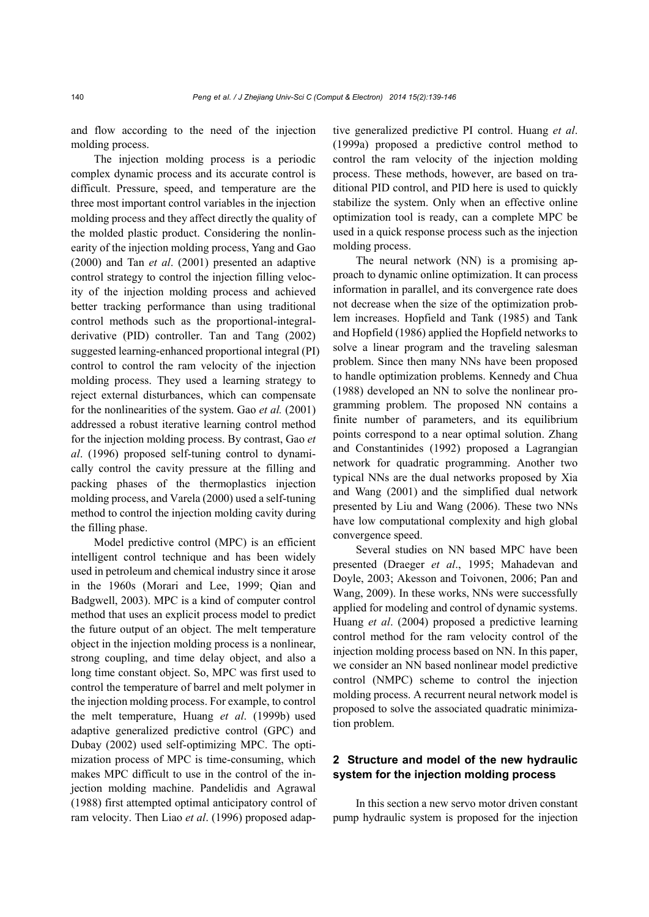and flow according to the need of the injection molding process.

The injection molding process is a periodic complex dynamic process and its accurate control is difficult. Pressure, speed, and temperature are the three most important control variables in the injection molding process and they affect directly the quality of the molded plastic product. Considering the nonlinearity of the injection molding process, Yang and Gao (2000) and Tan *et al*. (2001) presented an adaptive control strategy to control the injection filling velocity of the injection molding process and achieved better tracking performance than using traditional control methods such as the proportional-integralderivative (PID) controller. Tan and Tang (2002) suggested learning-enhanced proportional integral (PI) control to control the ram velocity of the injection molding process. They used a learning strategy to reject external disturbances, which can compensate for the nonlinearities of the system. Gao *et al.* (2001) addressed a robust iterative learning control method for the injection molding process. By contrast, Gao *et al*. (1996) proposed self-tuning control to dynamically control the cavity pressure at the filling and packing phases of the thermoplastics injection molding process, and Varela (2000) used a self-tuning method to control the injection molding cavity during the filling phase.

Model predictive control (MPC) is an efficient intelligent control technique and has been widely used in petroleum and chemical industry since it arose in the 1960s (Morari and Lee, 1999; Qian and Badgwell, 2003). MPC is a kind of computer control method that uses an explicit process model to predict the future output of an object. The melt temperature object in the injection molding process is a nonlinear, strong coupling, and time delay object, and also a long time constant object. So, MPC was first used to control the temperature of barrel and melt polymer in the injection molding process. For example, to control the melt temperature, Huang *et al*. (1999b) used adaptive generalized predictive control (GPC) and Dubay (2002) used self-optimizing MPC. The optimization process of MPC is time-consuming, which makes MPC difficult to use in the control of the injection molding machine. Pandelidis and Agrawal (1988) first attempted optimal anticipatory control of ram velocity. Then Liao *et al*. (1996) proposed adaptive generalized predictive PI control. Huang *et al*. (1999a) proposed a predictive control method to control the ram velocity of the injection molding process. These methods, however, are based on traditional PID control, and PID here is used to quickly stabilize the system. Only when an effective online optimization tool is ready, can a complete MPC be used in a quick response process such as the injection molding process.

The neural network (NN) is a promising approach to dynamic online optimization. It can process information in parallel, and its convergence rate does not decrease when the size of the optimization problem increases. Hopfield and Tank (1985) and Tank and Hopfield (1986) applied the Hopfield networks to solve a linear program and the traveling salesman problem. Since then many NNs have been proposed to handle optimization problems. Kennedy and Chua (1988) developed an NN to solve the nonlinear programming problem. The proposed NN contains a finite number of parameters, and its equilibrium points correspond to a near optimal solution. Zhang and Constantinides (1992) proposed a Lagrangian network for quadratic programming. Another two typical NNs are the dual networks proposed by Xia and Wang (2001) and the simplified dual network presented by Liu and Wang (2006). These two NNs have low computational complexity and high global convergence speed.

Several studies on NN based MPC have been presented (Draeger *et al*., 1995; Mahadevan and Doyle, 2003; Akesson and Toivonen, 2006; Pan and Wang, 2009). In these works, NNs were successfully applied for modeling and control of dynamic systems. Huang *et al*. (2004) proposed a predictive learning control method for the ram velocity control of the injection molding process based on NN. In this paper, we consider an NN based nonlinear model predictive control (NMPC) scheme to control the injection molding process. A recurrent neural network model is proposed to solve the associated quadratic minimization problem.

## **2 Structure and model of the new hydraulic system for the injection molding process**

In this section a new servo motor driven constant pump hydraulic system is proposed for the injection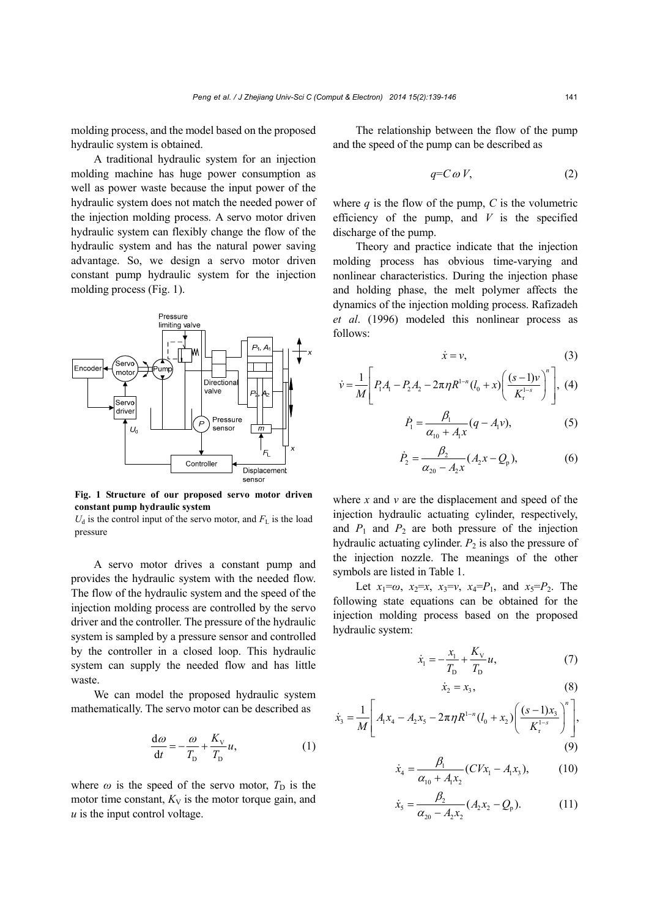molding process, and the model based on the proposed hydraulic system is obtained.

A traditional hydraulic system for an injection molding machine has huge power consumption as well as power waste because the input power of the hydraulic system does not match the needed power of the injection molding process. A servo motor driven hydraulic system can flexibly change the flow of the hydraulic system and has the natural power saving advantage. So, we design a servo motor driven constant pump hydraulic system for the injection molding process (Fig. 1).



**Fig. 1 Structure of our proposed servo motor driven constant pump hydraulic system** 

 $U_d$  is the control input of the servo motor, and  $F_L$  is the load pressure

A servo motor drives a constant pump and provides the hydraulic system with the needed flow. The flow of the hydraulic system and the speed of the injection molding process are controlled by the servo driver and the controller. The pressure of the hydraulic system is sampled by a pressure sensor and controlled by the controller in a closed loop. This hydraulic system can supply the needed flow and has little waste.

We can model the proposed hydraulic system mathematically. The servo motor can be described as

$$
\frac{d\omega}{dt} = -\frac{\omega}{T_{\rm D}} + \frac{K_{\rm V}}{T_{\rm D}}u,\tag{1}
$$

where  $\omega$  is the speed of the servo motor,  $T_D$  is the motor time constant,  $K_V$  is the motor torque gain, and *u* is the input control voltage.

The relationship between the flow of the pump and the speed of the pump can be described as

$$
q = C \omega V, \tag{2}
$$

where  $q$  is the flow of the pump,  $C$  is the volumetric efficiency of the pump, and  $V$  is the specified discharge of the pump.

Theory and practice indicate that the injection molding process has obvious time-varying and nonlinear characteristics. During the injection phase and holding phase, the melt polymer affects the dynamics of the injection molding process. Rafizadeh *et al*. (1996) modeled this nonlinear process as follows:

$$
\dot{x} = v,\tag{3}
$$

$$
\dot{\nu} = \frac{1}{M} \left[ P_1 A_1 - P_2 A_2 - 2\pi \eta R^{1-n} (I_0 + x) \left( \frac{(s-1)\nu}{K_r^{1-s}} \right)^n \right], \tag{4}
$$

$$
\dot{P}_1 = \frac{\beta_1}{\alpha_{10} + A_1 x} (q - A_1 v),
$$
\n(5)

$$
\dot{P}_2 = \frac{\beta_2}{\alpha_{20} - A_2 x} (A_2 x - Q_{\rm p}),\tag{6}
$$

where *x* and *v* are the displacement and speed of the injection hydraulic actuating cylinder, respectively, and  $P_1$  and  $P_2$  are both pressure of the injection hydraulic actuating cylinder.  $P_2$  is also the pressure of the injection nozzle. The meanings of the other symbols are listed in Table 1.

Let  $x_1 = \omega$ ,  $x_2 = x$ ,  $x_3 = v$ ,  $x_4 = P_1$ , and  $x_5 = P_2$ . The following state equations can be obtained for the injection molding process based on the proposed hydraulic system:

$$
\dot{x}_1 = -\frac{x_1}{T_D} + \frac{K_V}{T_D} u,\tag{7}
$$

$$
,\t(8)
$$

$$
\dot{x}_3 = \frac{1}{M} \left[ A_1 x_4 - A_2 x_5 - 2\pi \eta R^{1-n} (l_0 + x_2) \left( \frac{(s-1)x_3}{K_r^{1-s}} \right)^n \right],\tag{9}
$$

 $\dot{x}_2 = x_1$ 

$$
\dot{x}_4 = \frac{\beta_1}{\alpha_{10} + A_1 x_2} (CVx_1 - A_1 x_3), \tag{10}
$$

$$
\dot{x}_5 = \frac{\beta_2}{\alpha_{20} - A_2 x_2} (A_2 x_2 - Q_p). \tag{11}
$$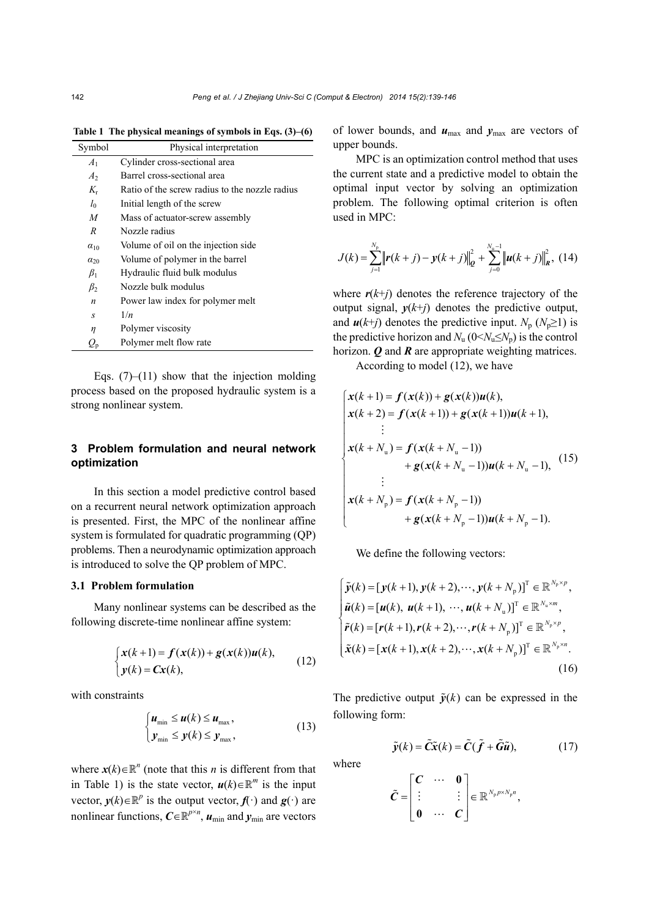| Symbol                 | Physical interpretation                        |
|------------------------|------------------------------------------------|
| A <sub>1</sub>         | Cylinder cross-sectional area                  |
| A <sub>2</sub>         | Barrel cross-sectional area                    |
| $K_{r}$                | Ratio of the screw radius to the nozzle radius |
| $l_0$                  | Initial length of the screw                    |
| M                      | Mass of actuator-screw assembly                |
| R                      | Nozzle radius                                  |
| $a_{10}$               | Volume of oil on the injection side            |
| $a_{20}$               | Volume of polymer in the barrel                |
| $\beta_1$              | Hydraulic fluid bulk modulus                   |
| $\beta_2$              | Nozzle bulk modulus                            |
| n                      | Power law index for polymer melt               |
| S                      | 1/n                                            |
| η                      | Polymer viscosity                              |
| $\mathcal{Q}_\text{p}$ | Polymer melt flow rate                         |

**Table 1 The physical meanings of symbols in Eqs. (3)–(6)**

Eqs.  $(7)$ – $(11)$  show that the injection molding process based on the proposed hydraulic system is a strong nonlinear system.

## **3 Problem formulation and neural network optimization**

In this section a model predictive control based on a recurrent neural network optimization approach is presented. First, the MPC of the nonlinear affine system is formulated for quadratic programming (QP) problems. Then a neurodynamic optimization approach is introduced to solve the QP problem of MPC.

#### **3.1 Problem formulation**

Many nonlinear systems can be described as the following discrete-time nonlinear affine system:

$$
\begin{cases} x(k+1) = f(x(k)) + g(x(k))u(k), \\ y(k) = Cx(k), \end{cases}
$$
 (12)

with constraints

$$
\begin{cases} \n\boldsymbol{u}_{\min} \leq \boldsymbol{u}(k) \leq \boldsymbol{u}_{\max}, \\ \n\boldsymbol{y}_{\min} \leq \boldsymbol{y}(k) \leq \boldsymbol{y}_{\max}, \n\end{cases} \tag{13}
$$

where  $x(k) \in \mathbb{R}^n$  (note that this *n* is different from that in Table 1) is the state vector,  $u(k) \in \mathbb{R}^m$  is the input vector,  $y(k) \in \mathbb{R}^p$  is the output vector,  $f(\cdot)$  and  $g(\cdot)$  are nonlinear functions,  $C \in \mathbb{R}^{p \times n}$ ,  $u_{\text{min}}$  and  $y_{\text{min}}$  are vectors of lower bounds, and *u*max and *y*max are vectors of upper bounds.

MPC is an optimization control method that uses the current state and a predictive model to obtain the optimal input vector by solving an optimization problem. The following optimal criterion is often used in MPC:

$$
J(k) = \sum_{j=1}^{N_{\rm p}} \left\| \mathbf{r}(k+j) - \mathbf{y}(k+j) \right\|_{\mathbf{Q}}^2 + \sum_{j=0}^{N_{\rm u}-1} \left\| \mathbf{u}(k+j) \right\|_{\mathbf{R}}^2, (14)
$$

where  $r(k+j)$  denotes the reference trajectory of the output signal,  $y(k+j)$  denotes the predictive output, and  $u(k+j)$  denotes the predictive input.  $N_p$  ( $N_p \geq 1$ ) is the predictive horizon and  $N_u$  (0< $N_u \leq N_p$ ) is the control horizon. *Q* and *R* are appropriate weighting matrices.

According to model (12), we have

$$
\begin{cases}\n x(k+1) = f(x(k)) + g(x(k))u(k), \\
 x(k+2) = f(x(k+1)) + g(x(k+1))u(k+1), \\
 \vdots \\
 x(k+N_u) = f(x(k+N_u-1)) \\
 + g(x(k+N_u-1))u(k+N_u-1),\n \end{cases}
$$
\n(15)\n
$$
\begin{cases}\n x(k+N_p) = f(x(k+N_p-1)) \\
 + g(x(k+N_p-1))u(k+N_p-1).\n \end{cases}
$$

We define the following vectors:

$$
\begin{cases}\n\tilde{\mathbf{y}}(k) = [\mathbf{y}(k+1), \mathbf{y}(k+2), \cdots, \mathbf{y}(k+N_{\mathrm{p}})]^{\mathrm{T}} \in \mathbb{R}^{N_{\mathrm{p}} \times p}, \\
\tilde{\mathbf{u}}(k) = [\mathbf{u}(k), \mathbf{u}(k+1), \cdots, \mathbf{u}(k+N_{\mathrm{u}})]^{\mathrm{T}} \in \mathbb{R}^{N_{\mathrm{u}} \times m}, \\
\tilde{\mathbf{r}}(k) = [\mathbf{r}(k+1), \mathbf{r}(k+2), \cdots, \mathbf{r}(k+N_{\mathrm{p}})]^{\mathrm{T}} \in \mathbb{R}^{N_{\mathrm{p}} \times p}, \\
\tilde{\mathbf{x}}(k) = [\mathbf{x}(k+1), \mathbf{x}(k+2), \cdots, \mathbf{x}(k+N_{\mathrm{p}})]^{\mathrm{T}} \in \mathbb{R}^{N_{\mathrm{p}} \times n}.\n\end{cases}
$$
\n(16)

The predictive output  $\tilde{y}(k)$  can be expressed in the following form:

$$
\tilde{\mathbf{y}}(k) = \tilde{\mathbf{C}}\tilde{\mathbf{x}}(k) = \tilde{\mathbf{C}}(\tilde{\mathbf{f}} + \tilde{\mathbf{G}}\tilde{\mathbf{u}}),
$$
 (17)

where

$$
\tilde{C} = \begin{bmatrix} C & \cdots & 0 \\ \vdots & & \vdots \\ 0 & \cdots & C \end{bmatrix} \in \mathbb{R}^{N_p p \times N_p n},
$$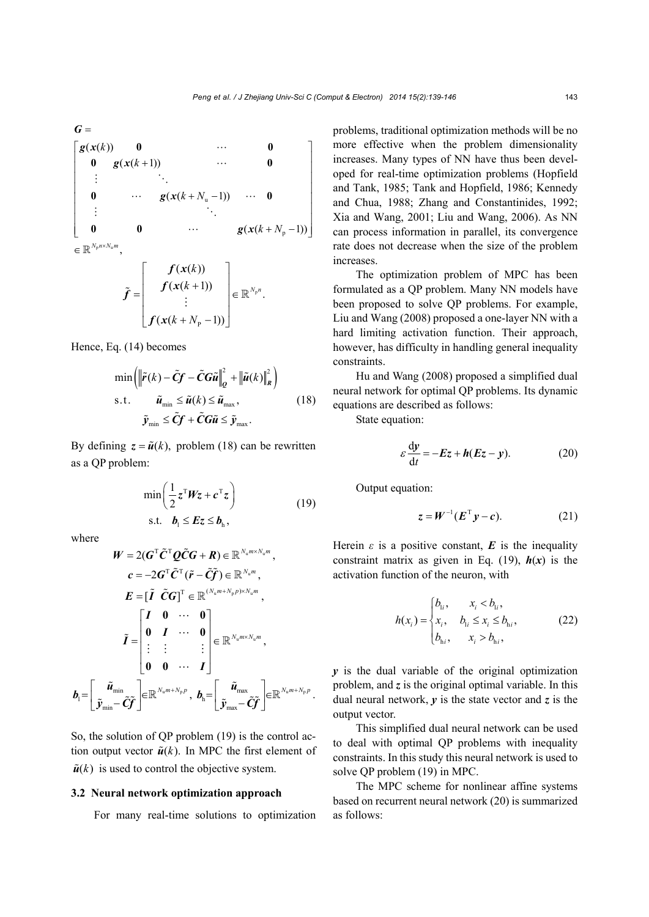$\in \mathbb{R}^{N_p n \times N_u m}$ , **0** ...  $g(x(k+N_u-1))$ p ( ( 1)) *k N g x*  $\begin{bmatrix} g(x(k)) & 0 & \cdots & 0 \end{bmatrix}$ **a**  $g(x(k+1))$   $\cdots$  **0**  *G*  $\cdot \cdot$  $\cdot \cdot$  $\mathbb{E}[\mathbf{z}_i] = \mathbf{z}_i \mathbf{z}_i$  , where  $\mathbf{z}_i$  $\cdots$   $g(x(k+N_{u}-1))$  ...  $\mathbf{E} = \left\{ \mathbf{E}_{\mathbf{z}} \right\}$  , where  $\mathbf{E}_{\mathbf{z}}$  is the set of  $\mathbf{z}$  $\ddot{\cdot}$ **0 0 0**  $\cdots$  **g** $(x(k+N_{n}-1))$   $\cdots$  **0 0 0** p P  $(x(k))$  $(x(k+1))$   $\Big| \in \mathbb{R}^{N_{\text{p}}n}$ .  $(x(k+N_{\rm p}-1))$  $N_n$ *n k k k N*  $\int f(x(k))$  $=\left|\int_{0}^{1} f(x(k+1)) dx\right| \in$  $\left[f(x(k+N_{\rm p}-1))\right]$  $f(x)$  $\tilde{f} = \begin{vmatrix} f(x) \end{vmatrix}$  $f(x)$  $\tilde{f} = \begin{vmatrix} J(\mathbf{x}(\mathbf{x}+1)) & \mathbf{x} \\ \vdots & \mathbf{x} \end{vmatrix} \in \mathbb{R}$ 

Hence, Eq. (14) becomes

$$
\min\left(\left\|\tilde{r}(k) - \tilde{C}f - \tilde{C}G\tilde{u}\right\|_{\varrho}^{2} + \left\|\tilde{u}(k)\right\|_{R}^{2}\right)
$$
\ns.t. 
$$
\tilde{u}_{\min} \leq \tilde{u}(k) \leq \tilde{u}_{\max},
$$
\n
$$
\tilde{y}_{\min} \leq \tilde{C}f + \tilde{C}G\tilde{u} \leq \tilde{y}_{\max}.
$$
\n(18)

By defining  $z = \tilde{u}(k)$ , problem (18) can be rewritten as a QP problem:

$$
\min\left(\frac{1}{2}z^{\mathrm{T}}Wz + c^{\mathrm{T}}z\right)
$$
  
s.t.  $b_1 \leq Ez \leq b_h$ , (19)

where

$$
W = 2(G^{T}\tilde{C}^{T}Q\tilde{C}G + R) \in \mathbb{R}^{N_{u}m \times N_{u}m},
$$
  
\n
$$
c = -2G^{T}\tilde{C}^{T}(\tilde{r} - \tilde{C}\tilde{f}) \in \mathbb{R}^{N_{u}m},
$$
  
\n
$$
E = [\tilde{I} \quad \tilde{C}G]^{T} \in \mathbb{R}^{(N_{u}m + N_{p}p) \times N_{u}m},
$$
  
\n
$$
\tilde{I} = \begin{bmatrix} I & 0 & \cdots & 0 \\ 0 & I & \cdots & 0 \\ \vdots & \vdots & & \vdots \\ 0 & 0 & \cdots & I \end{bmatrix} \in \mathbb{R}^{N_{u}m \times N_{u}m},
$$
  
\n
$$
b_{1} = \begin{bmatrix} \tilde{u}_{\min} \\ \tilde{y}_{\min} - \tilde{C}\tilde{f} \end{bmatrix} \in \mathbb{R}^{N_{u}m + N_{p}p}, b_{h} = \begin{bmatrix} \tilde{u}_{\max} \\ \tilde{y}_{\max} - \tilde{C}\tilde{f} \end{bmatrix} \in \mathbb{R}^{N_{u}m + N_{p}p}.
$$

So, the solution of QP problem (19) is the control action output vector  $\tilde{u}(k)$ . In MPC the first element of  $\tilde{u}(k)$  is used to control the objective system.

#### **3.2 Neural network optimization approach**

For many real-time solutions to optimization

problems, traditional optimization methods will be no more effective when the problem dimensionality increases. Many types of NN have thus been developed for real-time optimization problems (Hopfield and Tank, 1985; Tank and Hopfield, 1986; Kennedy and Chua, 1988; Zhang and Constantinides, 1992; Xia and Wang, 2001; Liu and Wang, 2006). As NN can process information in parallel, its convergence rate does not decrease when the size of the problem increases.

The optimization problem of MPC has been formulated as a QP problem. Many NN models have been proposed to solve QP problems. For example, Liu and Wang (2008) proposed a one-layer NN with a hard limiting activation function. Their approach, however, has difficulty in handling general inequality constraints.

Hu and Wang (2008) proposed a simplified dual neural network for optimal QP problems. Its dynamic equations are described as follows:

State equation:

$$
\varepsilon \frac{\mathrm{d}y}{\mathrm{d}t} = -Ez + h(Ez - y). \tag{20}
$$

Output equation:

$$
z = W^{-1}(E^{\mathrm{T}}y - c). \tag{21}
$$

Herein  $\varepsilon$  is a positive constant,  $\boldsymbol{E}$  is the inequality constraint matrix as given in Eq. (19),  $h(x)$  is the activation function of the neuron, with

$$
h(x_i) = \begin{cases} b_{ii}, & x_i < b_{ii}, \\ x_i, & b_{ii} \le x_i \le b_{hi}, \\ b_{hi}, & x_i > b_{hi}, \end{cases}
$$
 (22)

*y* is the dual variable of the original optimization problem, and *z* is the original optimal variable. In this dual neural network, *y* is the state vector and *z* is the output vector.

This simplified dual neural network can be used to deal with optimal QP problems with inequality constraints. In this study this neural network is used to solve QP problem (19) in MPC.

The MPC scheme for nonlinear affine systems based on recurrent neural network (20) is summarized as follows: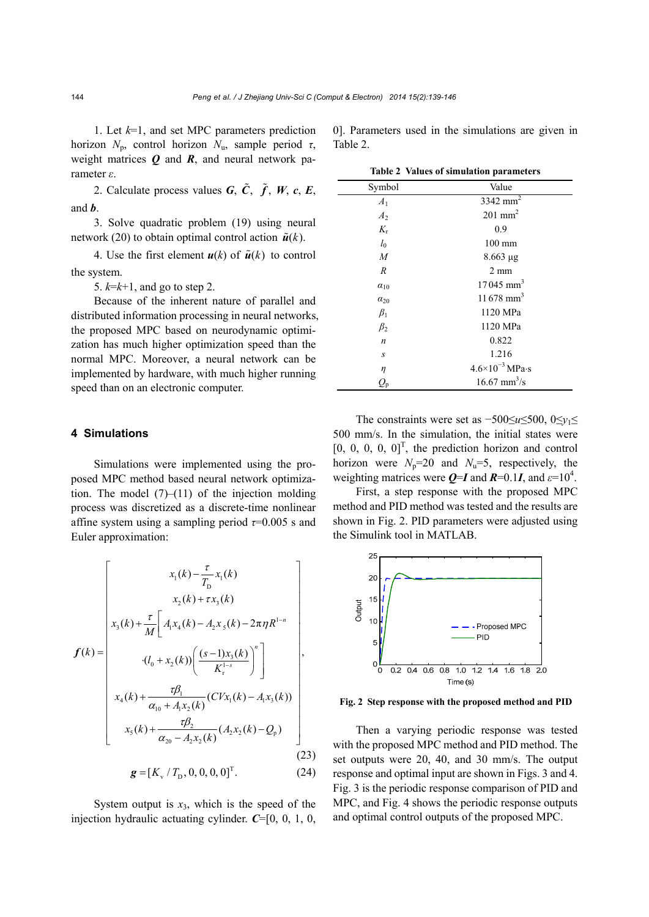1. Let *k*=1, and set MPC parameters prediction horizon  $N_p$ , control horizon  $N_u$ , sample period *τ*, weight matrices *Q* and *R*, and neural network parameter *ε*.

2. Calculate process values  $\vec{G}$ ,  $\tilde{C}$ ,  $\tilde{f}$ ,  $\vec{W}$ ,  $\vec{c}$ ,  $\vec{E}$ , and *b*.

3. Solve quadratic problem (19) using neural network (20) to obtain optimal control action  $\tilde{u}(k)$ .

4. Use the first element  $u(k)$  of  $\tilde{u}(k)$  to control the system.

5.  $k=k+1$ , and go to step 2.

Because of the inherent nature of parallel and distributed information processing in neural networks, the proposed MPC based on neurodynamic optimization has much higher optimization speed than the normal MPC. Moreover, a neural network can be implemented by hardware, with much higher running speed than on an electronic computer.

#### **4 Simulations**

Simulations were implemented using the proposed MPC method based neural network optimization. The model  $(7)$ – $(11)$  of the injection molding process was discretized as a discrete-time nonlinear affine system using a sampling period  $\tau$ =0.005 s and Euler approximation:

$$
f(k) = \begin{bmatrix} x_1(k) - \frac{\tau}{T_D} x_1(k) \\ x_2(k) + \tau x_3(k) \\ x_3(k) + \frac{\tau}{M} \left[ A_1 x_4(k) - A_2 x_5(k) - 2\pi \eta R^{1-n} \right. \\ \left. (I_0 + x_2(k)) \left( \frac{(s-1)x_3(k)}{K_r^{1-s}} \right)^n \right] \\ x_4(k) + \frac{\tau \beta_1}{\alpha_{10} + A_1 x_2(k)} (CVx_1(k) - A_1 x_3(k)) \\ x_5(k) + \frac{\tau \beta_2}{\alpha_{20} - A_2 x_2(k)} (A_2 x_2(k) - Q_p) \end{bmatrix},
$$
\n(23)

$$
\mathbf{g} = [K_{\rm v} / T_{\rm D}, 0, 0, 0, 0]^{\rm T}.
$$
 (24)

System output is  $x_3$ , which is the speed of the injection hydraulic actuating cylinder. *C*=[0, 0, 1, 0,

|                          | Table 2 Values of simulation parameters |
|--------------------------|-----------------------------------------|
| Symbol                   | Value                                   |
| A <sub>1</sub>           | 3342 mm <sup>2</sup>                    |
| A <sub>2</sub>           | $201$ mm <sup>2</sup>                   |
| $K_{r}$                  | 0.9                                     |
| $l_0$                    | $100 \text{ mm}$                        |
| M                        | $8.663 \mu g$                           |
| $\boldsymbol{R}$         | $2 \text{ mm}$                          |
| $\alpha_{10}$            | $17045$ mm <sup>3</sup>                 |
| $a_{20}$                 | $11678$ mm <sup>3</sup>                 |
| $\beta_1$                | 1120 MPa                                |
| $\beta_2$                | 1120 MPa                                |
| $\boldsymbol{n}$         | 0.822                                   |
| S                        | 1.216                                   |
| η                        | $4.6 \times 10^{-3}$ MPa·s              |
| $\mathcal{Q}_\mathrm{p}$ | $16.67$ mm <sup>3</sup> /s              |

0]. Parameters used in the simulations are given in Table 2.

The constraints were set as −500≤*u*≤500, 0≤*y*1≤ 500 mm/s. In the simulation, the initial states were  $[0, 0, 0, 0, 0]$ <sup>T</sup>, the prediction horizon and control horizon were  $N_p=20$  and  $N_u=5$ , respectively, the weighting matrices were  $Q=I$  and  $R=0.1I$ , and  $\varepsilon=10^4$ .

First, a step response with the proposed MPC method and PID method was tested and the results are shown in Fig. 2. PID parameters were adjusted using the Simulink tool in MATLAB.



**Fig. 2 Step response with the proposed method and PID**

Then a varying periodic response was tested with the proposed MPC method and PID method. The set outputs were 20, 40, and 30 mm/s. The output response and optimal input are shown in Figs. 3 and 4. Fig. 3 is the periodic response comparison of PID and MPC, and Fig. 4 shows the periodic response outputs and optimal control outputs of the proposed MPC.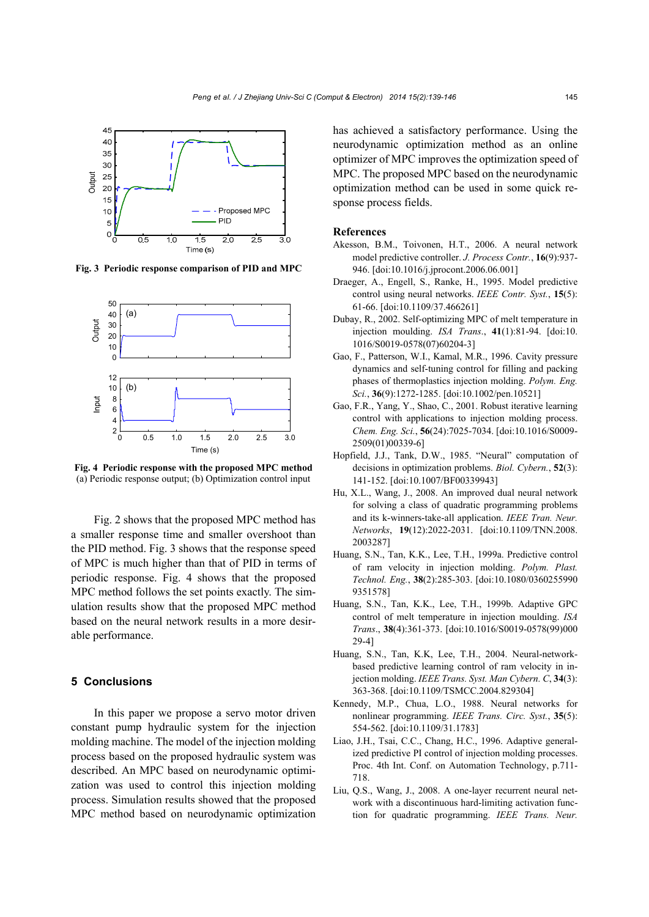

**Fig. 3 Periodic response comparison of PID and MPC**



**Fig. 4 Periodic response with the proposed MPC method** (a) Periodic response output; (b) Optimization control input

Fig. 2 shows that the proposed MPC method has a smaller response time and smaller overshoot than the PID method. Fig. 3 shows that the response speed of MPC is much higher than that of PID in terms of periodic response. Fig. 4 shows that the proposed MPC method follows the set points exactly. The simulation results show that the proposed MPC method based on the neural network results in a more desirable performance.

#### **5 Conclusions**

In this paper we propose a servo motor driven constant pump hydraulic system for the injection molding machine. The model of the injection molding process based on the proposed hydraulic system was described. An MPC based on neurodynamic optimization was used to control this injection molding process. Simulation results showed that the proposed MPC method based on neurodynamic optimization

has achieved a satisfactory performance. Using the neurodynamic optimization method as an online optimizer of MPC improves the optimization speed of MPC. The proposed MPC based on the neurodynamic optimization method can be used in some quick response process fields.

#### **References**

- Akesson, B.M., Toivonen, H.T., 2006. A neural network model predictive controller. *J. Process Contr.*, **16**(9):937- 946. [doi:10.1016/j.jprocont.2006.06.001]
- Draeger, A., Engell, S., Ranke, H., 1995. Model predictive control using neural networks. *IEEE Contr. Syst.*, **15**(5): 61-66. [doi:10.1109/37.466261]
- Dubay, R., 2002. Self-optimizing MPC of melt temperature in injection moulding. *ISA Trans*., **41**(1):81-94. [doi:10. 1016/S0019-0578(07)60204-3]
- Gao, F., Patterson, W.I., Kamal, M.R., 1996. Cavity pressure dynamics and self-tuning control for filling and packing phases of thermoplastics injection molding. *Polym. Eng. Sci.*, **36**(9):1272-1285. [doi:10.1002/pen.10521]
- Gao, F.R., Yang, Y., Shao, C., 2001. Robust iterative learning control with applications to injection molding process. *Chem. Eng. Sci.*, **56**(24):7025-7034. [doi:10.1016/S0009- 2509(01)00339-6]
- Hopfield, J.J., Tank, D.W., 1985. "Neural" computation of decisions in optimization problems. *Biol. Cybern.*, **52**(3): 141-152. [doi:10.1007/BF00339943]
- Hu, X.L., Wang, J., 2008. An improved dual neural network for solving a class of quadratic programming problems and its k-winners-take-all application. *IEEE Tran. Neur. Networks*, **19**(12):2022-2031. [doi:10.1109/TNN.2008. 2003287]
- Huang, S.N., Tan, K.K., Lee, T.H., 1999a. Predictive control of ram velocity in injection molding. *Polym. Plast. Technol. Eng.*, **38**(2):285-303. [doi:10.1080/0360255990 9351578]
- Huang, S.N., Tan, K.K., Lee, T.H., 1999b. Adaptive GPC control of melt temperature in injection moulding. *ISA Trans*., **38**(4):361-373. [doi:10.1016/S0019-0578(99)000 29-4]
- Huang, S.N., Tan, K.K, Lee, T.H., 2004. Neural-networkbased predictive learning control of ram velocity in injection molding. *IEEE Trans. Syst. Man Cybern. C*, **34**(3): 363-368. [doi:10.1109/TSMCC.2004.829304]
- Kennedy, M.P., Chua, L.O., 1988. Neural networks for nonlinear programming. *IEEE Trans. Circ. Syst.*, **35**(5): 554-562. [doi:10.1109/31.1783]
- Liao, J.H., Tsai, C.C., Chang, H.C., 1996. Adaptive generalized predictive PI control of injection molding processes. Proc. 4th Int. Conf. on Automation Technology, p.711- 718.
- Liu, Q.S., Wang, J., 2008. A one-layer recurrent neural network with a discontinuous hard-limiting activation function for quadratic programming. *IEEE Trans. Neur.*